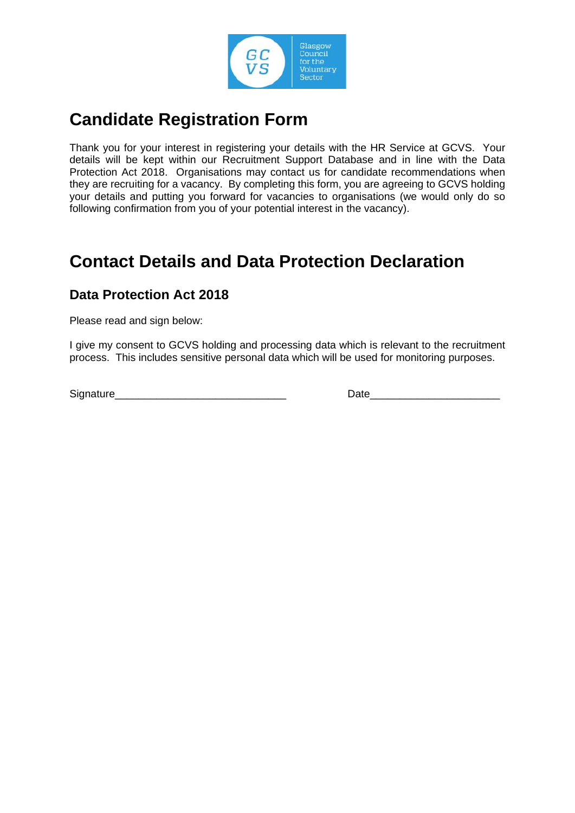

## **Candidate Registration Form**

Thank you for your interest in registering your details with the HR Service at GCVS. Your details will be kept within our Recruitment Support Database and in line with the Data Protection Act 2018. Organisations may contact us for candidate recommendations when they are recruiting for a vacancy. By completing this form, you are agreeing to GCVS holding your details and putting you forward for vacancies to organisations (we would only do so following confirmation from you of your potential interest in the vacancy).

## **Contact Details and Data Protection Declaration**

## **Data Protection Act 2018**

Please read and sign below:

I give my consent to GCVS holding and processing data which is relevant to the recruitment process. This includes sensitive personal data which will be used for monitoring purposes.

Signature\_\_\_\_\_\_\_\_\_\_\_\_\_\_\_\_\_\_\_\_\_\_\_\_\_\_\_\_\_ Date\_\_\_\_\_\_\_\_\_\_\_\_\_\_\_\_\_\_\_\_\_\_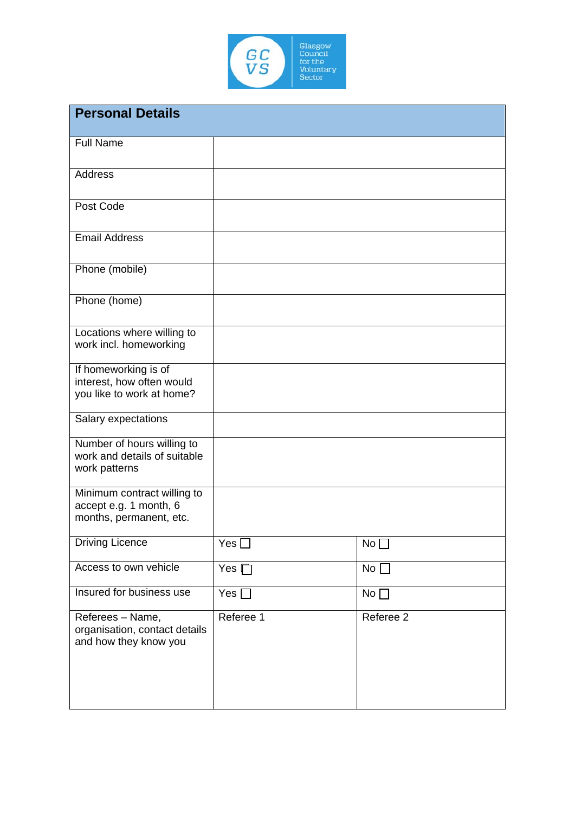

| <b>Personal Details</b>                                                          |            |             |
|----------------------------------------------------------------------------------|------------|-------------|
| <b>Full Name</b>                                                                 |            |             |
| <b>Address</b>                                                                   |            |             |
| Post Code                                                                        |            |             |
| <b>Email Address</b>                                                             |            |             |
| Phone (mobile)                                                                   |            |             |
| Phone (home)                                                                     |            |             |
| Locations where willing to<br>work incl. homeworking                             |            |             |
| If homeworking is of<br>interest, how often would<br>you like to work at home?   |            |             |
| Salary expectations                                                              |            |             |
| Number of hours willing to<br>work and details of suitable<br>work patterns      |            |             |
| Minimum contract willing to<br>accept e.g. 1 month, 6<br>months, permanent, etc. |            |             |
| Driving Licence                                                                  | Yes ∐      | $No$ $\Box$ |
| Access to own vehicle                                                            | Yes $\Box$ | No          |
| Insured for business use                                                         | Yes $\Box$ | No          |
| Referees - Name,<br>organisation, contact details<br>and how they know you       | Referee 1  | Referee 2   |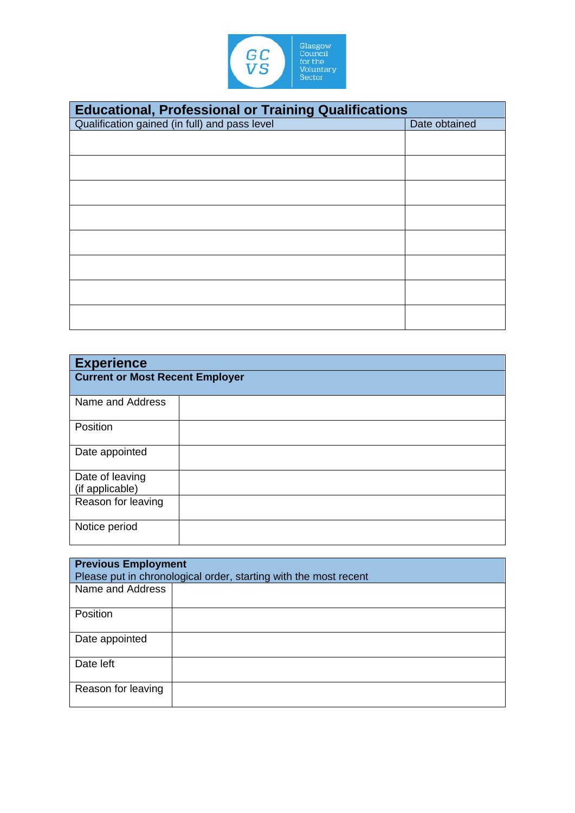

| <b>Educational, Professional or Training Qualifications</b> |               |  |
|-------------------------------------------------------------|---------------|--|
| Qualification gained (in full) and pass level               | Date obtained |  |
|                                                             |               |  |
|                                                             |               |  |
|                                                             |               |  |
|                                                             |               |  |
|                                                             |               |  |
|                                                             |               |  |
|                                                             |               |  |
|                                                             |               |  |

| <b>Experience</b>                      |  |  |
|----------------------------------------|--|--|
| <b>Current or Most Recent Employer</b> |  |  |
| Name and Address                       |  |  |
| Position                               |  |  |
| Date appointed                         |  |  |
| Date of leaving                        |  |  |
| (if applicable)                        |  |  |
| Reason for leaving                     |  |  |
| Notice period                          |  |  |

| <b>Previous Employment</b><br>Please put in chronological order, starting with the most recent |  |  |
|------------------------------------------------------------------------------------------------|--|--|
| Name and Address                                                                               |  |  |
| Position                                                                                       |  |  |
| Date appointed                                                                                 |  |  |
| Date left                                                                                      |  |  |
| Reason for leaving                                                                             |  |  |